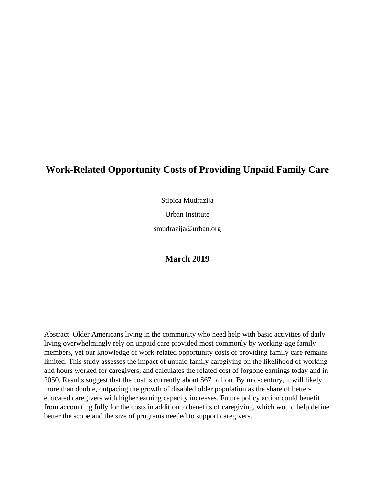# **Work-Related Opportunity Costs of Providing Unpaid Family Care**

Stipica Mudrazija

Urban Institute

smudrazija@urban.org

### **March 2019**

Abstract: Older Americans living in the community who need help with basic activities of daily living overwhelmingly rely on unpaid care provided most commonly by working-age family members, yet our knowledge of work-related opportunity costs of providing family care remains limited. This study assesses the impact of unpaid family caregiving on the likelihood of working and hours worked for caregivers, and calculates the related cost of forgone earnings today and in 2050. Results suggest that the cost is currently about \$67 billion. By mid-century, it will likely more than double, outpacing the growth of disabled older population as the share of bettereducated caregivers with higher earning capacity increases. Future policy action could benefit from accounting fully for the costs in addition to benefits of caregiving, which would help define better the scope and the size of programs needed to support caregivers.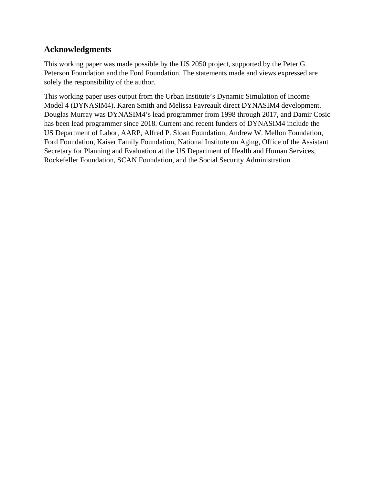## **Acknowledgments**

This working paper was made possible by the US 2050 project, supported by the Peter G. Peterson Foundation and the Ford Foundation. The statements made and views expressed are solely the responsibility of the author.

This working paper uses output from the Urban Institute's Dynamic Simulation of Income Model 4 (DYNASIM4). Karen Smith and Melissa Favreault direct DYNASIM4 development. Douglas Murray was DYNASIM4's lead programmer from 1998 through 2017, and Damir Cosic has been lead programmer since 2018. Current and recent funders of DYNASIM4 include the US Department of Labor, AARP, Alfred P. Sloan Foundation, Andrew W. Mellon Foundation, Ford Foundation, Kaiser Family Foundation, National Institute on Aging, Office of the Assistant Secretary for Planning and Evaluation at the US Department of Health and Human Services, Rockefeller Foundation, SCAN Foundation, and the Social Security Administration.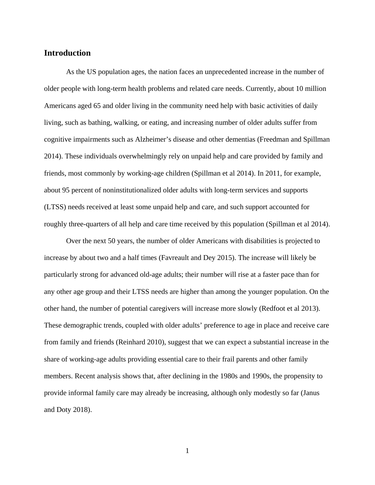### **Introduction**

As the US population ages, the nation faces an unprecedented increase in the number of older people with long-term health problems and related care needs. Currently, about 10 million Americans aged 65 and older living in the community need help with basic activities of daily living, such as bathing, walking, or eating, and increasing number of older adults suffer from cognitive impairments such as Alzheimer's disease and other dementias (Freedman and Spillman 2014). These individuals overwhelmingly rely on unpaid help and care provided by family and friends, most commonly by working-age children (Spillman et al 2014). In 2011, for example, about 95 percent of noninstitutionalized older adults with long-term services and supports (LTSS) needs received at least some unpaid help and care, and such support accounted for roughly three-quarters of all help and care time received by this population (Spillman et al 2014).

Over the next 50 years, the number of older Americans with disabilities is projected to increase by about two and a half times (Favreault and Dey 2015). The increase will likely be particularly strong for advanced old-age adults; their number will rise at a faster pace than for any other age group and their LTSS needs are higher than among the younger population. On the other hand, the number of potential caregivers will increase more slowly (Redfoot et al 2013). These demographic trends, coupled with older adults' preference to age in place and receive care from family and friends (Reinhard 2010), suggest that we can expect a substantial increase in the share of working-age adults providing essential care to their frail parents and other family members. Recent analysis shows that, after declining in the 1980s and 1990s, the propensity to provide informal family care may already be increasing, although only modestly so far (Janus and Doty 2018).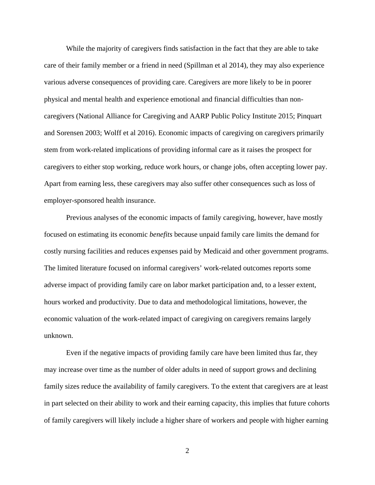While the majority of caregivers finds satisfaction in the fact that they are able to take care of their family member or a friend in need (Spillman et al 2014), they may also experience various adverse consequences of providing care. Caregivers are more likely to be in poorer physical and mental health and experience emotional and financial difficulties than noncaregivers (National Alliance for Caregiving and AARP Public Policy Institute 2015; Pinquart and Sorensen 2003; Wolff et al 2016). Economic impacts of caregiving on caregivers primarily stem from work-related implications of providing informal care as it raises the prospect for caregivers to either stop working, reduce work hours, or change jobs, often accepting lower pay. Apart from earning less, these caregivers may also suffer other consequences such as loss of employer-sponsored health insurance.

Previous analyses of the economic impacts of family caregiving, however, have mostly focused on estimating its economic *benefits* because unpaid family care limits the demand for costly nursing facilities and reduces expenses paid by Medicaid and other government programs. The limited literature focused on informal caregivers' work-related outcomes reports some adverse impact of providing family care on labor market participation and, to a lesser extent, hours worked and productivity. Due to data and methodological limitations, however, the economic valuation of the work-related impact of caregiving on caregivers remains largely unknown.

Even if the negative impacts of providing family care have been limited thus far, they may increase over time as the number of older adults in need of support grows and declining family sizes reduce the availability of family caregivers. To the extent that caregivers are at least in part selected on their ability to work and their earning capacity, this implies that future cohorts of family caregivers will likely include a higher share of workers and people with higher earning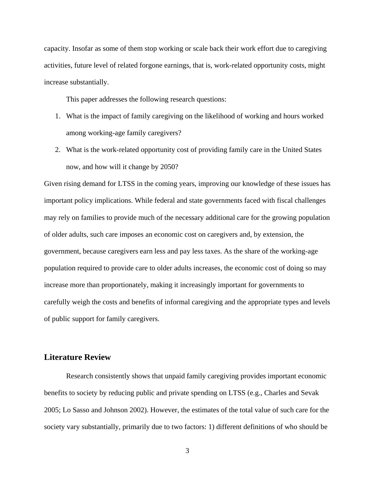capacity. Insofar as some of them stop working or scale back their work effort due to caregiving activities, future level of related forgone earnings, that is, work-related opportunity costs, might increase substantially.

This paper addresses the following research questions:

- 1. What is the impact of family caregiving on the likelihood of working and hours worked among working-age family caregivers?
- 2. What is the work-related opportunity cost of providing family care in the United States now, and how will it change by 2050?

Given rising demand for LTSS in the coming years, improving our knowledge of these issues has important policy implications. While federal and state governments faced with fiscal challenges may rely on families to provide much of the necessary additional care for the growing population of older adults, such care imposes an economic cost on caregivers and, by extension, the government, because caregivers earn less and pay less taxes. As the share of the working-age population required to provide care to older adults increases, the economic cost of doing so may increase more than proportionately, making it increasingly important for governments to carefully weigh the costs and benefits of informal caregiving and the appropriate types and levels of public support for family caregivers.

## **Literature Review**

Research consistently shows that unpaid family caregiving provides important economic benefits to society by reducing public and private spending on LTSS (e.g., Charles and Sevak 2005; Lo Sasso and Johnson 2002). However, the estimates of the total value of such care for the society vary substantially, primarily due to two factors: 1) different definitions of who should be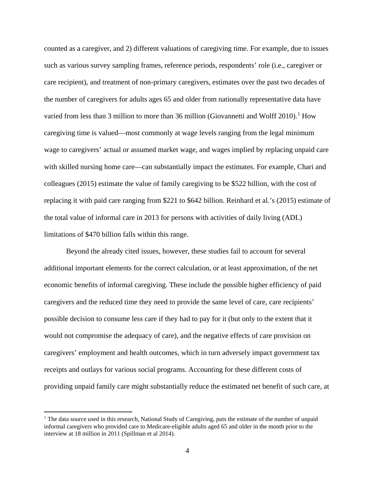counted as a caregiver, and 2) different valuations of caregiving time. For example, due to issues such as various survey sampling frames, reference periods, respondents' role (i.e., caregiver or care recipient), and treatment of non-primary caregivers, estimates over the past two decades of the number of caregivers for adults ages 65 and older from nationally representative data have varied from less than 3 million to more than 36 million (Giovannetti and Wolff 20[1](#page-5-0)0).<sup>1</sup> How caregiving time is valued—most commonly at wage levels ranging from the legal minimum wage to caregivers' actual or assumed market wage, and wages implied by replacing unpaid care with skilled nursing home care—can substantially impact the estimates. For example, Chari and colleagues (2015) estimate the value of family caregiving to be \$522 billion, with the cost of replacing it with paid care ranging from \$221 to \$642 billion. Reinhard et al.'s (2015) estimate of the total value of informal care in 2013 for persons with activities of daily living (ADL) limitations of \$470 billion falls within this range.

Beyond the already cited issues, however, these studies fail to account for several additional important elements for the correct calculation, or at least approximation, of the net economic benefits of informal caregiving. These include the possible higher efficiency of paid caregivers and the reduced time they need to provide the same level of care, care recipients' possible decision to consume less care if they had to pay for it (but only to the extent that it would not compromise the adequacy of care), and the negative effects of care provision on caregivers' employment and health outcomes, which in turn adversely impact government tax receipts and outlays for various social programs. Accounting for these different costs of providing unpaid family care might substantially reduce the estimated net benefit of such care, at

l

<span id="page-5-0"></span><sup>&</sup>lt;sup>1</sup> The data source used in this research, National Study of Caregiving, puts the estimate of the number of unpaid informal caregivers who provided care to Medicare-eligible adults aged 65 and older in the month prior to the interview at 18 million in 2011 (Spillman et al 2014).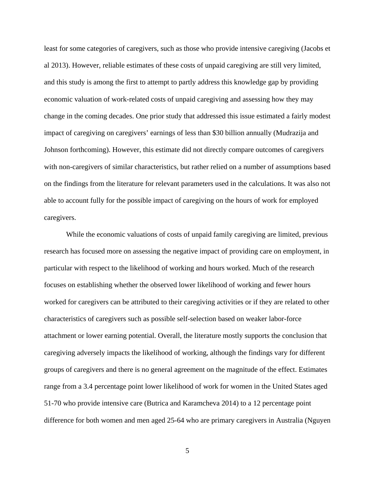least for some categories of caregivers, such as those who provide intensive caregiving (Jacobs et al 2013). However, reliable estimates of these costs of unpaid caregiving are still very limited, and this study is among the first to attempt to partly address this knowledge gap by providing economic valuation of work-related costs of unpaid caregiving and assessing how they may change in the coming decades. One prior study that addressed this issue estimated a fairly modest impact of caregiving on caregivers' earnings of less than \$30 billion annually (Mudrazija and Johnson forthcoming). However, this estimate did not directly compare outcomes of caregivers with non-caregivers of similar characteristics, but rather relied on a number of assumptions based on the findings from the literature for relevant parameters used in the calculations. It was also not able to account fully for the possible impact of caregiving on the hours of work for employed caregivers.

While the economic valuations of costs of unpaid family caregiving are limited, previous research has focused more on assessing the negative impact of providing care on employment, in particular with respect to the likelihood of working and hours worked. Much of the research focuses on establishing whether the observed lower likelihood of working and fewer hours worked for caregivers can be attributed to their caregiving activities or if they are related to other characteristics of caregivers such as possible self-selection based on weaker labor-force attachment or lower earning potential. Overall, the literature mostly supports the conclusion that caregiving adversely impacts the likelihood of working, although the findings vary for different groups of caregivers and there is no general agreement on the magnitude of the effect. Estimates range from a 3.4 percentage point lower likelihood of work for women in the United States aged 51-70 who provide intensive care (Butrica and Karamcheva 2014) to a 12 percentage point difference for both women and men aged 25-64 who are primary caregivers in Australia (Nguyen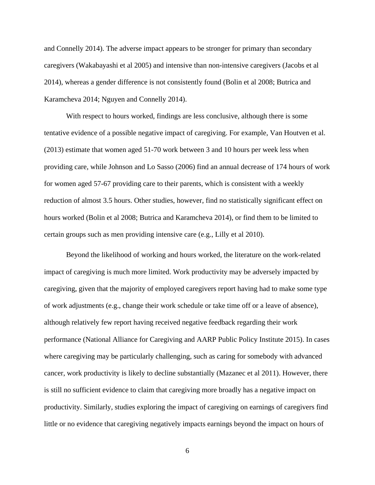and Connelly 2014). The adverse impact appears to be stronger for primary than secondary caregivers (Wakabayashi et al 2005) and intensive than non-intensive caregivers (Jacobs et al 2014), whereas a gender difference is not consistently found (Bolin et al 2008; Butrica and Karamcheva 2014; Nguyen and Connelly 2014).

With respect to hours worked, findings are less conclusive, although there is some tentative evidence of a possible negative impact of caregiving. For example, Van Houtven et al. (2013) estimate that women aged 51-70 work between 3 and 10 hours per week less when providing care, while Johnson and Lo Sasso (2006) find an annual decrease of 174 hours of work for women aged 57-67 providing care to their parents, which is consistent with a weekly reduction of almost 3.5 hours. Other studies, however, find no statistically significant effect on hours worked (Bolin et al 2008; Butrica and Karamcheva 2014), or find them to be limited to certain groups such as men providing intensive care (e.g., Lilly et al 2010).

Beyond the likelihood of working and hours worked, the literature on the work-related impact of caregiving is much more limited. Work productivity may be adversely impacted by caregiving, given that the majority of employed caregivers report having had to make some type of work adjustments (e.g., change their work schedule or take time off or a leave of absence), although relatively few report having received negative feedback regarding their work performance (National Alliance for Caregiving and AARP Public Policy Institute 2015). In cases where caregiving may be particularly challenging, such as caring for somebody with advanced cancer, work productivity is likely to decline substantially (Mazanec et al 2011). However, there is still no sufficient evidence to claim that caregiving more broadly has a negative impact on productivity. Similarly, studies exploring the impact of caregiving on earnings of caregivers find little or no evidence that caregiving negatively impacts earnings beyond the impact on hours of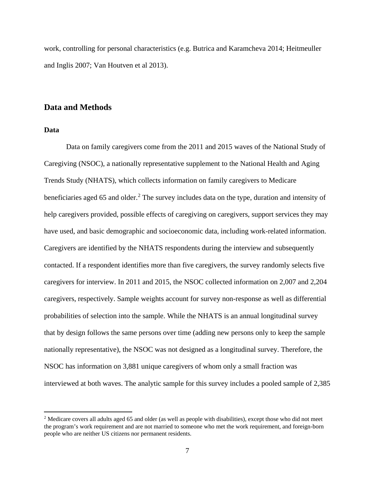work, controlling for personal characteristics (e.g. Butrica and Karamcheva 2014; Heitmeuller and Inglis 2007; Van Houtven et al 2013).

### **Data and Methods**

#### **Data**

l

Data on family caregivers come from the 2011 and 2015 waves of the National Study of Caregiving (NSOC), a nationally representative supplement to the National Health and Aging Trends Study (NHATS), which collects information on family caregivers to Medicare beneficiaries aged 65 and older.<sup>[2](#page-8-0)</sup> The survey includes data on the type, duration and intensity of help caregivers provided, possible effects of caregiving on caregivers, support services they may have used, and basic demographic and socioeconomic data, including work-related information. Caregivers are identified by the NHATS respondents during the interview and subsequently contacted. If a respondent identifies more than five caregivers, the survey randomly selects five caregivers for interview. In 2011 and 2015, the NSOC collected information on 2,007 and 2,204 caregivers, respectively. Sample weights account for survey non-response as well as differential probabilities of selection into the sample. While the NHATS is an annual longitudinal survey that by design follows the same persons over time (adding new persons only to keep the sample nationally representative), the NSOC was not designed as a longitudinal survey. Therefore, the NSOC has information on 3,881 unique caregivers of whom only a small fraction was interviewed at both waves. The analytic sample for this survey includes a pooled sample of 2,385

<span id="page-8-0"></span><sup>&</sup>lt;sup>2</sup> Medicare covers all adults aged 65 and older (as well as people with disabilities), except those who did not meet the program's work requirement and are not married to someone who met the work requirement, and foreign-born people who are neither US citizens nor permanent residents.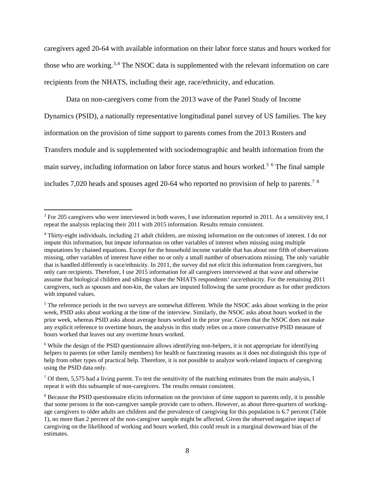caregivers aged 20-64 with available information on their labor force status and hours worked for those who are working.<sup>[3](#page-9-0),[4](#page-9-1)</sup> The NSOC data is supplemented with the relevant information on care recipients from the NHATS, including their age, race/ethnicity, and education.

Data on non-caregivers come from the 2013 wave of the Panel Study of Income Dynamics (PSID), a nationally representative longitudinal panel survey of US families. The key information on the provision of time support to parents comes from the 2013 Rosters and Transfers module and is supplemented with sociodemographic and health information from the main survey, including information on labor force status and hours worked.<sup>[5](#page-9-2) [6](#page-9-3)</sup> The final sample includes [7](#page-9-4),020 heads and spouses aged 20-64 who reported no provision of help to parents.<sup>7 [8](#page-9-5)</sup>

l

<span id="page-9-0"></span><sup>&</sup>lt;sup>3</sup> For 205 caregivers who were interviewed in both waves, I use information reported in 2011. As a sensitivity test, I repeat the analysis replacing their 2011 with 2015 information. Results remain consistent.

<span id="page-9-1"></span><sup>4</sup> Thirty-eight individuals, including 21 adult children, are missing information on the outcomes of interest. I do not impute this information, but impute information on other variables of interest when missing using multiple imputations by chained equations. Except for the household income variable that has about one fifth of observations missing, other variables of interest have either no or only a small number of observations missing. The only variable that is handled differently is race/ethnicity. In 2011, the survey did not elicit this information from caregivers, but only care recipients. Therefore, I use 2015 information for all caregivers interviewed at that wave and otherwise assume that biological children and siblings share the NHATS respondents' race/ethnicity. For the remaining 2011 caregivers, such as spouses and non-kin, the values are imputed following the same procedure as for other predictors with imputed values.

<span id="page-9-2"></span><sup>&</sup>lt;sup>5</sup> The reference periods in the two surveys are somewhat different. While the NSOC asks about working in the prior week, PSID asks about working at the time of the interview. Similarly, the NSOC asks about hours worked in the prior week, whereas PSID asks about average hours worked in the prior year. Given that the NSOC does not make any explicit reference to overtime hours, the analysis in this study relies on a more conservative PSID measure of hours worked that leaves out any overtime hours worked.

<span id="page-9-3"></span><sup>&</sup>lt;sup>6</sup> While the design of the PSID questionnaire allows identifying non-helpers, it is not appropriate for identifying helpers to parents (or other family members) for health or functioning reasons as it does not distinguish this type of help from other types of practical help. Therefore, it is not possible to analyze work-related impacts of caregiving using the PSID data only.

<span id="page-9-4"></span> $7$  Of them, 5,575 had a living parent. To test the sensitivity of the matching estimates from the main analysis, I repeat it with this subsample of non-caregivers. The results remain consistent.

<span id="page-9-5"></span><sup>&</sup>lt;sup>8</sup> Because the PSID questionnaire elicits information on the provision of time support to parents only, it is possible that some persons in the non-caregiver sample provide care to others. However, as about three-quarters of workingage caregivers to older adults are children and the prevalence of caregiving for this population is 6.7 percent (Table 1), no more than 2 percent of the non-caregiver sample might be affected. Given the observed negative impact of caregiving on the likelihood of working and hours worked, this could result in a marginal downward bias of the estimates.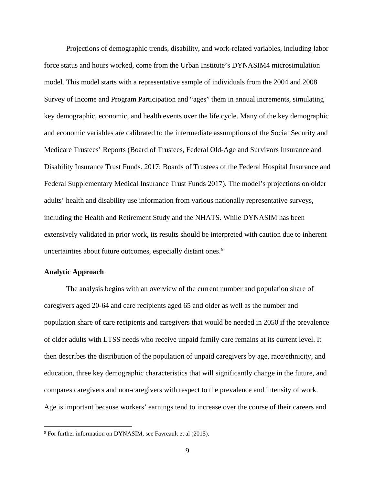Projections of demographic trends, disability, and work-related variables, including labor force status and hours worked, come from the Urban Institute's DYNASIM4 microsimulation model. This model starts with a representative sample of individuals from the 2004 and 2008 Survey of Income and Program Participation and "ages" them in annual increments, simulating key demographic, economic, and health events over the life cycle. Many of the key demographic and economic variables are calibrated to the intermediate assumptions of the Social Security and Medicare Trustees' Reports (Board of Trustees, Federal Old-Age and Survivors Insurance and Disability Insurance Trust Funds. 2017; Boards of Trustees of the Federal Hospital Insurance and Federal Supplementary Medical Insurance Trust Funds 2017). The model's projections on older adults' health and disability use information from various nationally representative surveys, including the Health and Retirement Study and the NHATS. While DYNASIM has been extensively validated in prior work, its results should be interpreted with caution due to inherent uncertainties about future outcomes, especially distant ones.<sup>[9](#page-10-0)</sup>

#### **Analytic Approach**

l

The analysis begins with an overview of the current number and population share of caregivers aged 20-64 and care recipients aged 65 and older as well as the number and population share of care recipients and caregivers that would be needed in 2050 if the prevalence of older adults with LTSS needs who receive unpaid family care remains at its current level. It then describes the distribution of the population of unpaid caregivers by age, race/ethnicity, and education, three key demographic characteristics that will significantly change in the future, and compares caregivers and non-caregivers with respect to the prevalence and intensity of work. Age is important because workers' earnings tend to increase over the course of their careers and

<span id="page-10-0"></span><sup>9</sup> For further information on DYNASIM, see Favreault et al (2015).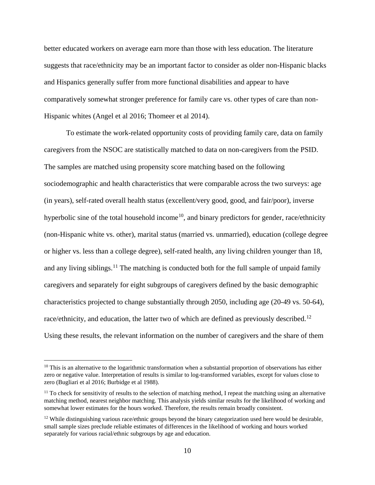better educated workers on average earn more than those with less education. The literature suggests that race/ethnicity may be an important factor to consider as older non-Hispanic blacks and Hispanics generally suffer from more functional disabilities and appear to have comparatively somewhat stronger preference for family care vs. other types of care than non-Hispanic whites (Angel et al 2016; Thomeer et al 2014).

To estimate the work-related opportunity costs of providing family care, data on family caregivers from the NSOC are statistically matched to data on non-caregivers from the PSID. The samples are matched using propensity score matching based on the following sociodemographic and health characteristics that were comparable across the two surveys: age (in years), self-rated overall health status (excellent/very good, good, and fair/poor), inverse hyperbolic sine of the total household income<sup>10</sup>, and binary predictors for gender, race/ethnicity (non-Hispanic white vs. other), marital status (married vs. unmarried), education (college degree or higher vs. less than a college degree), self-rated health, any living children younger than 18, and any living siblings.<sup>[11](#page-11-1)</sup> The matching is conducted both for the full sample of unpaid family caregivers and separately for eight subgroups of caregivers defined by the basic demographic characteristics projected to change substantially through 2050, including age (20-49 vs. 50-64), race/ethnicity, and education, the latter two of which are defined as previously described.<sup>[12](#page-11-2)</sup> Using these results, the relevant information on the number of caregivers and the share of them

l

<span id="page-11-0"></span> $10$  This is an alternative to the logarithmic transformation when a substantial proportion of observations has either zero or negative value. Interpretation of results is similar to log-transformed variables, except for values close to zero (Bugliari et al 2016; Burbidge et al 1988).

<span id="page-11-1"></span> $11$  To check for sensitivity of results to the selection of matching method, I repeat the matching using an alternative matching method, nearest neighbor matching. This analysis yields similar results for the likelihood of working and somewhat lower estimates for the hours worked. Therefore, the results remain broadly consistent.

<span id="page-11-2"></span> $12$  While distinguishing various race/ethnic groups beyond the binary categorization used here would be desirable, small sample sizes preclude reliable estimates of differences in the likelihood of working and hours worked separately for various racial/ethnic subgroups by age and education.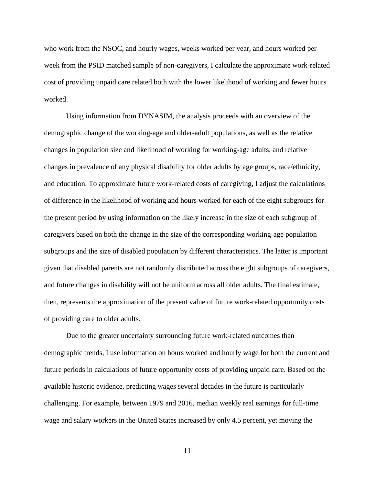who work from the NSOC, and hourly wages, weeks worked per year, and hours worked per week from the PSID matched sample of non-caregivers, I calculate the approximate work-related cost of providing unpaid care related both with the lower likelihood of working and fewer hours worked.

Using information from DYNASIM, the analysis proceeds with an overview of the demographic change of the working-age and older-adult populations, as well as the relative changes in population size and likelihood of working for working-age adults, and relative changes in prevalence of any physical disability for older adults by age groups, race/ethnicity, and education. To approximate future work-related costs of caregiving, I adjust the calculations of difference in the likelihood of working and hours worked for each of the eight subgroups for the present period by using information on the likely increase in the size of each subgroup of caregivers based on both the change in the size of the corresponding working-age population subgroups and the size of disabled population by different characteristics. The latter is important given that disabled parents are not randomly distributed across the eight subgroups of caregivers, and future changes in disability will not be uniform across all older adults. The final estimate, then, represents the approximation of the present value of future work-related opportunity costs of providing care to older adults.

Due to the greater uncertainty surrounding future work-related outcomes than demographic trends, I use information on hours worked and hourly wage for both the current and future periods in calculations of future opportunity costs of providing unpaid care. Based on the available historic evidence, predicting wages several decades in the future is particularly challenging. For example, between 1979 and 2016, median weekly real earnings for full-time wage and salary workers in the United States increased by only 4.5 percent, yet moving the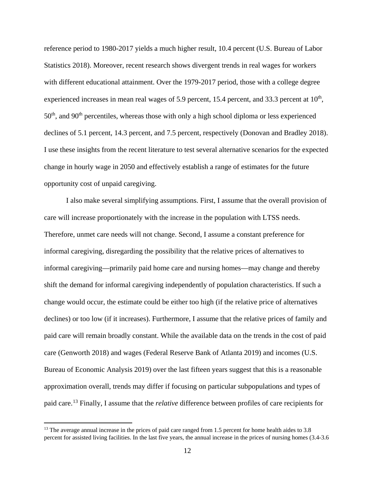reference period to 1980-2017 yields a much higher result, 10.4 percent (U.S. Bureau of Labor Statistics 2018). Moreover, recent research shows divergent trends in real wages for workers with different educational attainment. Over the 1979-2017 period, those with a college degree experienced increases in mean real wages of 5.9 percent, 15.4 percent, and 33.3 percent at  $10<sup>th</sup>$ ,  $50<sup>th</sup>$ , and  $90<sup>th</sup>$  percentiles, whereas those with only a high school diploma or less experienced declines of 5.1 percent, 14.3 percent, and 7.5 percent, respectively (Donovan and Bradley 2018). I use these insights from the recent literature to test several alternative scenarios for the expected change in hourly wage in 2050 and effectively establish a range of estimates for the future opportunity cost of unpaid caregiving.

I also make several simplifying assumptions. First, I assume that the overall provision of care will increase proportionately with the increase in the population with LTSS needs. Therefore, unmet care needs will not change. Second, I assume a constant preference for informal caregiving, disregarding the possibility that the relative prices of alternatives to informal caregiving—primarily paid home care and nursing homes—may change and thereby shift the demand for informal caregiving independently of population characteristics. If such a change would occur, the estimate could be either too high (if the relative price of alternatives declines) or too low (if it increases). Furthermore, I assume that the relative prices of family and paid care will remain broadly constant. While the available data on the trends in the cost of paid care (Genworth 2018) and wages (Federal Reserve Bank of Atlanta 2019) and incomes (U.S. Bureau of Economic Analysis 2019) over the last fifteen years suggest that this is a reasonable approximation overall, trends may differ if focusing on particular subpopulations and types of paid care.[13](#page-13-0) Finally, I assume that the *relative* difference between profiles of care recipients for

l

<span id="page-13-0"></span><sup>&</sup>lt;sup>13</sup> The average annual increase in the prices of paid care ranged from 1.5 percent for home health aides to 3.8 percent for assisted living facilities. In the last five years, the annual increase in the prices of nursing homes (3.4-3.6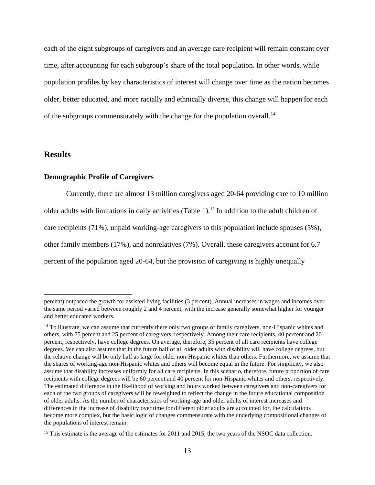each of the eight subgroups of caregivers and an average care recipient will remain constant over time, after accounting for each subgroup's share of the total population. In other words, while population profiles by key characteristics of interest will change over time as the nation becomes older, better educated, and more racially and ethnically diverse, this change will happen for each of the subgroups commensurately with the change for the population overall.<sup>[14](#page-14-0)</sup>

### **Results**

l

#### **Demographic Profile of Caregivers**

Currently, there are almost 13 million caregivers aged 20-64 providing care to 10 million older adults with limitations in daily activities (Table 1).<sup>15</sup> In addition to the adult children of care recipients (71%), unpaid working-age caregivers to this population include spouses (5%), other family members (17%), and nonrelatives (7%). Overall, these caregivers account for 6.7 percent of the population aged 20-64, but the provision of caregiving is highly unequally

percent) outpaced the growth for assisted living facilities (3 percent). Annual increases in wages and incomes over the same period varied between roughly 2 and 4 percent, with the increase generally somewhat higher for younger and better educated workers.

<span id="page-14-0"></span> $14$  To illustrate, we can assume that currently there only two groups of family caregivers, non-Hispanic whites and others, with 75 percent and 25 percent of caregivers, respectively. Among their care recipients, 40 percent and 20 percent, respectively, have college degrees. On average, therefore, 35 percent of all care recipients have college degrees. We can also assume that in the future half of all older adults with disability will have college degrees, but the relative change will be only half as large for older non-Hispanic whites than others. Furthermore, we assume that the shares of working-age non-Hispanic whites and others will become equal in the future. For simplicity, we also assume that disability increases uniformly for all care recipients. In this scenario, therefore, future proportion of care recipients with college degrees will be 60 percent and 40 percent for non-Hispanic whites and others, respectively. The estimated difference in the likelihood of working and hours worked between caregivers and non-caregivers for each of the two groups of caregivers will be reweighted to reflect the change in the future educational composition of older adults. As the number of characteristics of working-age and older adults of interest increases and differences in the increase of disability over time for different older adults are accounted for, the calculations become more complex, but the basic logic of changes commensurate with the underlying compositional changes of the populations of interest remain.

<span id="page-14-1"></span><sup>&</sup>lt;sup>15</sup> This estimate is the average of the estimates for 2011 and 2015, the two years of the NSOC data collection.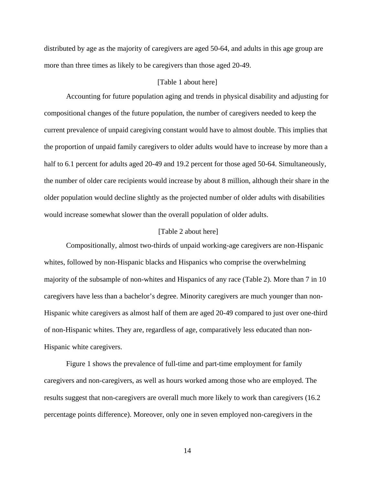distributed by age as the majority of caregivers are aged 50-64, and adults in this age group are more than three times as likely to be caregivers than those aged 20-49.

#### [Table 1 about here]

Accounting for future population aging and trends in physical disability and adjusting for compositional changes of the future population, the number of caregivers needed to keep the current prevalence of unpaid caregiving constant would have to almost double. This implies that the proportion of unpaid family caregivers to older adults would have to increase by more than a half to 6.1 percent for adults aged 20-49 and 19.2 percent for those aged 50-64. Simultaneously, the number of older care recipients would increase by about 8 million, although their share in the older population would decline slightly as the projected number of older adults with disabilities would increase somewhat slower than the overall population of older adults.

#### [Table 2 about here]

Compositionally, almost two-thirds of unpaid working-age caregivers are non-Hispanic whites, followed by non-Hispanic blacks and Hispanics who comprise the overwhelming majority of the subsample of non-whites and Hispanics of any race (Table 2). More than 7 in 10 caregivers have less than a bachelor's degree. Minority caregivers are much younger than non-Hispanic white caregivers as almost half of them are aged 20-49 compared to just over one-third of non-Hispanic whites. They are, regardless of age, comparatively less educated than non-Hispanic white caregivers.

Figure 1 shows the prevalence of full-time and part-time employment for family caregivers and non-caregivers, as well as hours worked among those who are employed. The results suggest that non-caregivers are overall much more likely to work than caregivers (16.2 percentage points difference). Moreover, only one in seven employed non-caregivers in the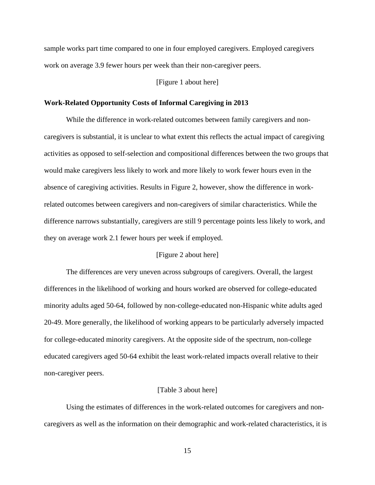sample works part time compared to one in four employed caregivers. Employed caregivers work on average 3.9 fewer hours per week than their non-caregiver peers.

#### [Figure 1 about here]

#### **Work-Related Opportunity Costs of Informal Caregiving in 2013**

While the difference in work-related outcomes between family caregivers and noncaregivers is substantial, it is unclear to what extent this reflects the actual impact of caregiving activities as opposed to self-selection and compositional differences between the two groups that would make caregivers less likely to work and more likely to work fewer hours even in the absence of caregiving activities. Results in Figure 2, however, show the difference in workrelated outcomes between caregivers and non-caregivers of similar characteristics. While the difference narrows substantially, caregivers are still 9 percentage points less likely to work, and they on average work 2.1 fewer hours per week if employed.

#### [Figure 2 about here]

The differences are very uneven across subgroups of caregivers. Overall, the largest differences in the likelihood of working and hours worked are observed for college-educated minority adults aged 50-64, followed by non-college-educated non-Hispanic white adults aged 20-49. More generally, the likelihood of working appears to be particularly adversely impacted for college-educated minority caregivers. At the opposite side of the spectrum, non-college educated caregivers aged 50-64 exhibit the least work-related impacts overall relative to their non-caregiver peers.

#### [Table 3 about here]

Using the estimates of differences in the work-related outcomes for caregivers and noncaregivers as well as the information on their demographic and work-related characteristics, it is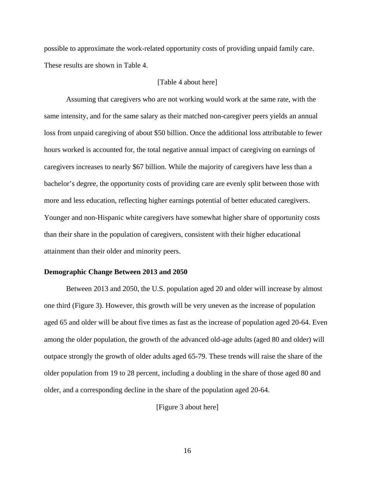possible to approximate the work-related opportunity costs of providing unpaid family care. These results are shown in Table 4.

#### [Table 4 about here]

Assuming that caregivers who are not working would work at the same rate, with the same intensity, and for the same salary as their matched non-caregiver peers yields an annual loss from unpaid caregiving of about \$50 billion. Once the additional loss attributable to fewer hours worked is accounted for, the total negative annual impact of caregiving on earnings of caregivers increases to nearly \$67 billion. While the majority of caregivers have less than a bachelor's degree, the opportunity costs of providing care are evenly split between those with more and less education, reflecting higher earnings potential of better educated caregivers. Younger and non-Hispanic white caregivers have somewhat higher share of opportunity costs than their share in the population of caregivers, consistent with their higher educational attainment than their older and minority peers.

#### **Demographic Change Between 2013 and 2050**

Between 2013 and 2050, the U.S. population aged 20 and older will increase by almost one third (Figure 3). However, this growth will be very uneven as the increase of population aged 65 and older will be about five times as fast as the increase of population aged 20-64. Even among the older population, the growth of the advanced old-age adults (aged 80 and older) will outpace strongly the growth of older adults aged 65-79. These trends will raise the share of the older population from 19 to 28 percent, including a doubling in the share of those aged 80 and older, and a corresponding decline in the share of the population aged 20-64.

[Figure 3 about here]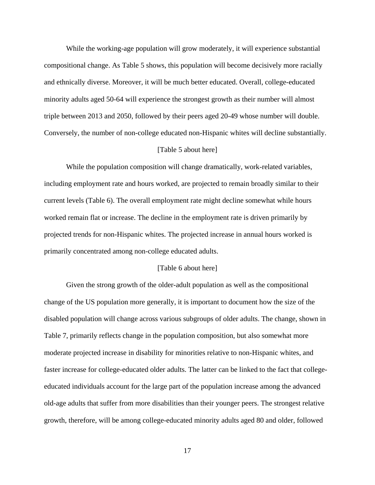While the working-age population will grow moderately, it will experience substantial compositional change. As Table 5 shows, this population will become decisively more racially and ethnically diverse. Moreover, it will be much better educated. Overall, college-educated minority adults aged 50-64 will experience the strongest growth as their number will almost triple between 2013 and 2050, followed by their peers aged 20-49 whose number will double. Conversely, the number of non-college educated non-Hispanic whites will decline substantially.

#### [Table 5 about here]

While the population composition will change dramatically, work-related variables, including employment rate and hours worked, are projected to remain broadly similar to their current levels (Table 6). The overall employment rate might decline somewhat while hours worked remain flat or increase. The decline in the employment rate is driven primarily by projected trends for non-Hispanic whites. The projected increase in annual hours worked is primarily concentrated among non-college educated adults.

#### [Table 6 about here]

Given the strong growth of the older-adult population as well as the compositional change of the US population more generally, it is important to document how the size of the disabled population will change across various subgroups of older adults. The change, shown in Table 7, primarily reflects change in the population composition, but also somewhat more moderate projected increase in disability for minorities relative to non-Hispanic whites, and faster increase for college-educated older adults. The latter can be linked to the fact that collegeeducated individuals account for the large part of the population increase among the advanced old-age adults that suffer from more disabilities than their younger peers. The strongest relative growth, therefore, will be among college-educated minority adults aged 80 and older, followed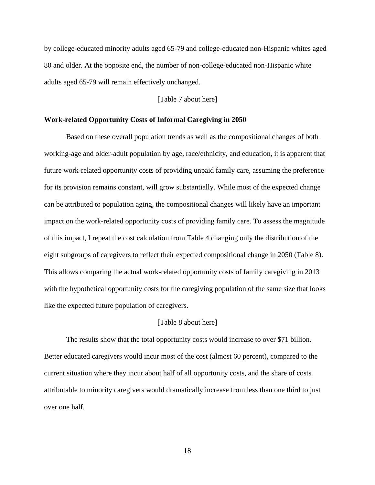by college-educated minority adults aged 65-79 and college-educated non-Hispanic whites aged 80 and older. At the opposite end, the number of non-college-educated non-Hispanic white adults aged 65-79 will remain effectively unchanged.

#### [Table 7 about here]

#### **Work-related Opportunity Costs of Informal Caregiving in 2050**

Based on these overall population trends as well as the compositional changes of both working-age and older-adult population by age, race/ethnicity, and education, it is apparent that future work-related opportunity costs of providing unpaid family care, assuming the preference for its provision remains constant, will grow substantially. While most of the expected change can be attributed to population aging, the compositional changes will likely have an important impact on the work-related opportunity costs of providing family care. To assess the magnitude of this impact, I repeat the cost calculation from Table 4 changing only the distribution of the eight subgroups of caregivers to reflect their expected compositional change in 2050 (Table 8). This allows comparing the actual work-related opportunity costs of family caregiving in 2013 with the hypothetical opportunity costs for the caregiving population of the same size that looks like the expected future population of caregivers.

#### [Table 8 about here]

The results show that the total opportunity costs would increase to over \$71 billion. Better educated caregivers would incur most of the cost (almost 60 percent), compared to the current situation where they incur about half of all opportunity costs, and the share of costs attributable to minority caregivers would dramatically increase from less than one third to just over one half.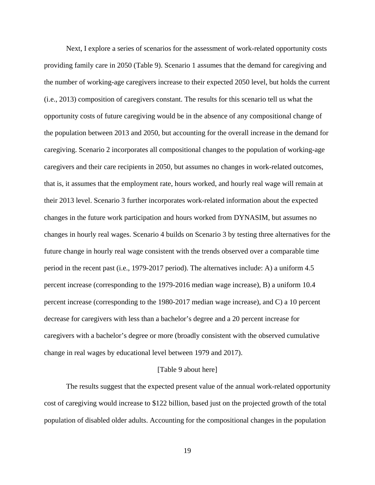Next, I explore a series of scenarios for the assessment of work-related opportunity costs providing family care in 2050 (Table 9). Scenario 1 assumes that the demand for caregiving and the number of working-age caregivers increase to their expected 2050 level, but holds the current (i.e., 2013) composition of caregivers constant. The results for this scenario tell us what the opportunity costs of future caregiving would be in the absence of any compositional change of the population between 2013 and 2050, but accounting for the overall increase in the demand for caregiving. Scenario 2 incorporates all compositional changes to the population of working-age caregivers and their care recipients in 2050, but assumes no changes in work-related outcomes, that is, it assumes that the employment rate, hours worked, and hourly real wage will remain at their 2013 level. Scenario 3 further incorporates work-related information about the expected changes in the future work participation and hours worked from DYNASIM, but assumes no changes in hourly real wages. Scenario 4 builds on Scenario 3 by testing three alternatives for the future change in hourly real wage consistent with the trends observed over a comparable time period in the recent past (i.e., 1979-2017 period). The alternatives include: A) a uniform 4.5 percent increase (corresponding to the 1979-2016 median wage increase), B) a uniform 10.4 percent increase (corresponding to the 1980-2017 median wage increase), and C) a 10 percent decrease for caregivers with less than a bachelor's degree and a 20 percent increase for caregivers with a bachelor's degree or more (broadly consistent with the observed cumulative change in real wages by educational level between 1979 and 2017).

#### [Table 9 about here]

The results suggest that the expected present value of the annual work-related opportunity cost of caregiving would increase to \$122 billion, based just on the projected growth of the total population of disabled older adults. Accounting for the compositional changes in the population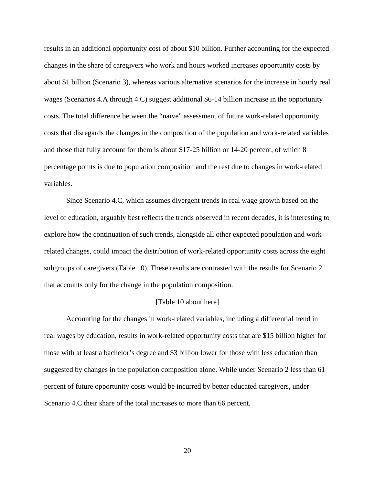results in an additional opportunity cost of about \$10 billion. Further accounting for the expected changes in the share of caregivers who work and hours worked increases opportunity costs by about \$1 billion (Scenario 3), whereas various alternative scenarios for the increase in hourly real wages (Scenarios 4.A through 4.C) suggest additional \$6-14 billion increase in the opportunity costs. The total difference between the "naïve" assessment of future work-related opportunity costs that disregards the changes in the composition of the population and work-related variables and those that fully account for them is about \$17-25 billion or 14-20 percent, of which 8 percentage points is due to population composition and the rest due to changes in work-related variables.

Since Scenario 4.C, which assumes divergent trends in real wage growth based on the level of education, arguably best reflects the trends observed in recent decades, it is interesting to explore how the continuation of such trends, alongside all other expected population and workrelated changes, could impact the distribution of work-related opportunity costs across the eight subgroups of caregivers (Table 10). These results are contrasted with the results for Scenario 2 that accounts only for the change in the population composition.

#### [Table 10 about here]

Accounting for the changes in work-related variables, including a differential trend in real wages by education, results in work-related opportunity costs that are \$15 billion higher for those with at least a bachelor's degree and \$3 billion lower for those with less education than suggested by changes in the population composition alone. While under Scenario 2 less than 61 percent of future opportunity costs would be incurred by better educated caregivers, under Scenario 4.C their share of the total increases to more than 66 percent.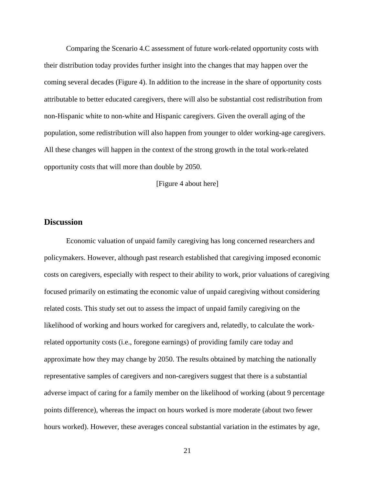Comparing the Scenario 4.C assessment of future work-related opportunity costs with their distribution today provides further insight into the changes that may happen over the coming several decades (Figure 4). In addition to the increase in the share of opportunity costs attributable to better educated caregivers, there will also be substantial cost redistribution from non-Hispanic white to non-white and Hispanic caregivers. Given the overall aging of the population, some redistribution will also happen from younger to older working-age caregivers. All these changes will happen in the context of the strong growth in the total work-related opportunity costs that will more than double by 2050.

[Figure 4 about here]

### **Discussion**

Economic valuation of unpaid family caregiving has long concerned researchers and policymakers. However, although past research established that caregiving imposed economic costs on caregivers, especially with respect to their ability to work, prior valuations of caregiving focused primarily on estimating the economic value of unpaid caregiving without considering related costs. This study set out to assess the impact of unpaid family caregiving on the likelihood of working and hours worked for caregivers and, relatedly, to calculate the workrelated opportunity costs (i.e., foregone earnings) of providing family care today and approximate how they may change by 2050. The results obtained by matching the nationally representative samples of caregivers and non-caregivers suggest that there is a substantial adverse impact of caring for a family member on the likelihood of working (about 9 percentage points difference), whereas the impact on hours worked is more moderate (about two fewer hours worked). However, these averages conceal substantial variation in the estimates by age,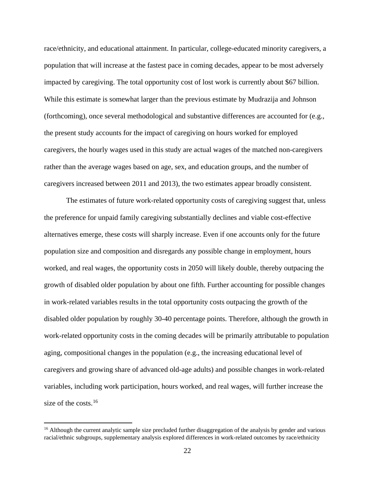race/ethnicity, and educational attainment. In particular, college-educated minority caregivers, a population that will increase at the fastest pace in coming decades, appear to be most adversely impacted by caregiving. The total opportunity cost of lost work is currently about \$67 billion. While this estimate is somewhat larger than the previous estimate by Mudrazija and Johnson (forthcoming), once several methodological and substantive differences are accounted for (e.g., the present study accounts for the impact of caregiving on hours worked for employed caregivers, the hourly wages used in this study are actual wages of the matched non-caregivers rather than the average wages based on age, sex, and education groups, and the number of caregivers increased between 2011 and 2013), the two estimates appear broadly consistent.

The estimates of future work-related opportunity costs of caregiving suggest that, unless the preference for unpaid family caregiving substantially declines and viable cost-effective alternatives emerge, these costs will sharply increase. Even if one accounts only for the future population size and composition and disregards any possible change in employment, hours worked, and real wages, the opportunity costs in 2050 will likely double, thereby outpacing the growth of disabled older population by about one fifth. Further accounting for possible changes in work-related variables results in the total opportunity costs outpacing the growth of the disabled older population by roughly 30-40 percentage points. Therefore, although the growth in work-related opportunity costs in the coming decades will be primarily attributable to population aging, compositional changes in the population (e.g., the increasing educational level of caregivers and growing share of advanced old-age adults) and possible changes in work-related variables, including work participation, hours worked, and real wages, will further increase the size of the costs.<sup>[16](#page-23-0)</sup>

l

<span id="page-23-0"></span><sup>&</sup>lt;sup>16</sup> Although the current analytic sample size precluded further disaggregation of the analysis by gender and various racial/ethnic subgroups, supplementary analysis explored differences in work-related outcomes by race/ethnicity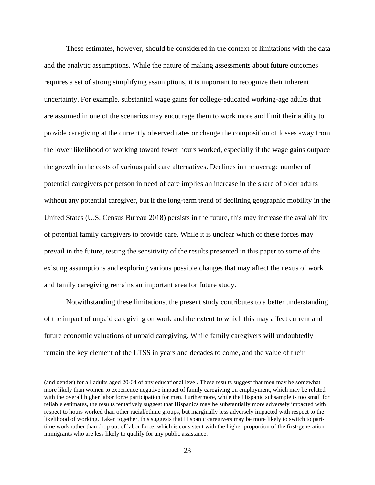These estimates, however, should be considered in the context of limitations with the data and the analytic assumptions. While the nature of making assessments about future outcomes requires a set of strong simplifying assumptions, it is important to recognize their inherent uncertainty. For example, substantial wage gains for college-educated working-age adults that are assumed in one of the scenarios may encourage them to work more and limit their ability to provide caregiving at the currently observed rates or change the composition of losses away from the lower likelihood of working toward fewer hours worked, especially if the wage gains outpace the growth in the costs of various paid care alternatives. Declines in the average number of potential caregivers per person in need of care implies an increase in the share of older adults without any potential caregiver, but if the long-term trend of declining geographic mobility in the United States (U.S. Census Bureau 2018) persists in the future, this may increase the availability of potential family caregivers to provide care. While it is unclear which of these forces may prevail in the future, testing the sensitivity of the results presented in this paper to some of the existing assumptions and exploring various possible changes that may affect the nexus of work and family caregiving remains an important area for future study.

Notwithstanding these limitations, the present study contributes to a better understanding of the impact of unpaid caregiving on work and the extent to which this may affect current and future economic valuations of unpaid caregiving. While family caregivers will undoubtedly remain the key element of the LTSS in years and decades to come, and the value of their

l

<sup>(</sup>and gender) for all adults aged 20-64 of any educational level. These results suggest that men may be somewhat more likely than women to experience negative impact of family caregiving on employment, which may be related with the overall higher labor force participation for men. Furthermore, while the Hispanic subsample is too small for reliable estimates, the results tentatively suggest that Hispanics may be substantially more adversely impacted with respect to hours worked than other racial/ethnic groups, but marginally less adversely impacted with respect to the likelihood of working. Taken together, this suggests that Hispanic caregivers may be more likely to switch to parttime work rather than drop out of labor force, which is consistent with the higher proportion of the first-generation immigrants who are less likely to qualify for any public assistance.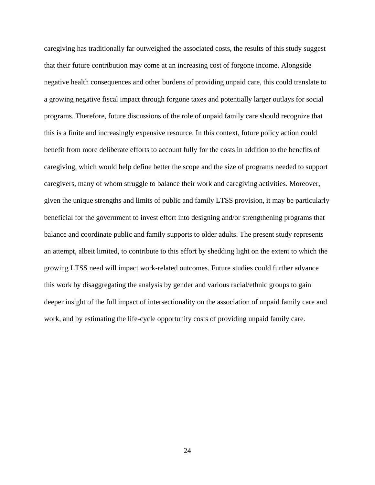caregiving has traditionally far outweighed the associated costs, the results of this study suggest that their future contribution may come at an increasing cost of forgone income. Alongside negative health consequences and other burdens of providing unpaid care, this could translate to a growing negative fiscal impact through forgone taxes and potentially larger outlays for social programs. Therefore, future discussions of the role of unpaid family care should recognize that this is a finite and increasingly expensive resource. In this context, future policy action could benefit from more deliberate efforts to account fully for the costs in addition to the benefits of caregiving, which would help define better the scope and the size of programs needed to support caregivers, many of whom struggle to balance their work and caregiving activities. Moreover, given the unique strengths and limits of public and family LTSS provision, it may be particularly beneficial for the government to invest effort into designing and/or strengthening programs that balance and coordinate public and family supports to older adults. The present study represents an attempt, albeit limited, to contribute to this effort by shedding light on the extent to which the growing LTSS need will impact work-related outcomes. Future studies could further advance this work by disaggregating the analysis by gender and various racial/ethnic groups to gain deeper insight of the full impact of intersectionality on the association of unpaid family care and work, and by estimating the life-cycle opportunity costs of providing unpaid family care.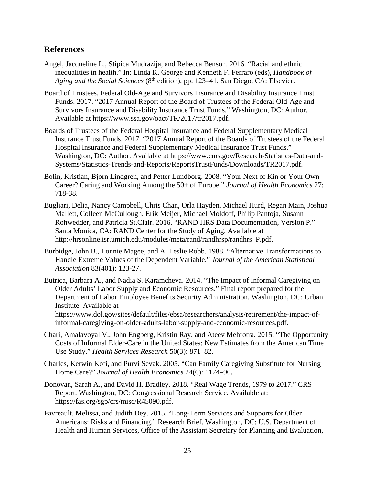## **References**

- Angel, Jacqueline L., Stipica Mudrazija, and Rebecca Benson. 2016. "Racial and ethnic inequalities in health." In: Linda K. George and Kenneth F. Ferraro (eds), *Handbook of Aging and the Social Sciences* (8th edition), pp. 123–41. San Diego, CA: Elsevier.
- Board of Trustees, Federal Old-Age and Survivors Insurance and Disability Insurance Trust Funds. 2017. "2017 Annual Report of the Board of Trustees of the Federal Old-Age and Survivors Insurance and Disability Insurance Trust Funds." Washington, DC: Author. Available at https://www.ssa.gov/oact/TR/2017/tr2017.pdf.
- Boards of Trustees of the Federal Hospital Insurance and Federal Supplementary Medical Insurance Trust Funds. 2017. "2017 Annual Report of the Boards of Trustees of the Federal Hospital Insurance and Federal Supplementary Medical Insurance Trust Funds." Washington, DC: Author. Available at https://www.cms.gov/Research-Statistics-Data-and-Systems/Statistics-Trends-and-Reports/ReportsTrustFunds/Downloads/TR2017.pdf.
- Bolin, Kristian, Bjorn Lindgren, and Petter Lundborg. 2008. "Your Next of Kin or Your Own Career? Caring and Working Among the 50+ of Europe." *Journal of Health Economics* 27: 718-38.
- Bugliari, Delia, Nancy Campbell, Chris Chan, Orla Hayden, Michael Hurd, Regan Main, Joshua Mallett, Colleen McCullough, Erik Meijer, Michael Moldoff, Philip Pantoja, Susann Rohwedder, and Patricia St.Clair. 2016. "RAND HRS Data Documentation, Version P." Santa Monica, CA: RAND Center for the Study of Aging. Available at http://hrsonline.isr.umich.edu/modules/meta/rand/randhrsp/randhrs\_P.pdf.
- Burbidge, John B., Lonnie Magee, and A. Leslie Robb. 1988. "Alternative Transformations to Handle Extreme Values of the Dependent Variable." *Journal of the American Statistical Association* 83(401): 123-27.
- Butrica, Barbara A., and Nadia S. Karamcheva. 2014. "The Impact of Informal Caregiving on Older Adults' Labor Supply and Economic Resources." Final report prepared for the Department of Labor Employee Benefits Security Administration. Washington, DC: Urban Institute. Available at https://www.dol.gov/sites/default/files/ebsa/researchers/analysis/retirement/the-impact-of-

informal-caregiving-on-older-adults-labor-supply-and-economic-resources.pdf.

- Chari, Amalavoyal V., John Engberg, Kristin Ray, and Ateev Mehrotra. 2015. "The Opportunity Costs of Informal Elder-Care in the United States: New Estimates from the American Time Use Study." *Health Services Research* 50(3): 871–82.
- Charles, Kerwin Kofi, and Purvi Sevak. 2005. "Can Family Caregiving Substitute for Nursing Home Care?" *Journal of Health Economics* 24(6): 1174–90.
- Donovan, Sarah A., and David H. Bradley. 2018. "Real Wage Trends, 1979 to 2017." CRS Report. Washington, DC: Congressional Research Service. Available at: https://fas.org/sgp/crs/misc/R45090.pdf.
- Favreault, Melissa, and Judith Dey. 2015. "Long-Term Services and Supports for Older Americans: Risks and Financing." Research Brief. Washington, DC: U.S. Department of Health and Human Services, Office of the Assistant Secretary for Planning and Evaluation,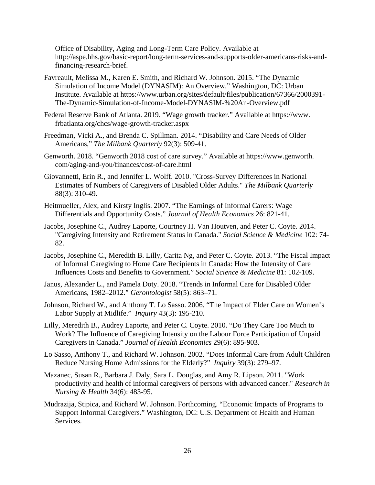Office of Disability, Aging and Long-Term Care Policy. Available at http://aspe.hhs.gov/basic-report/long-term-services-and-supports-older-americans-risks-andfinancing-research-brief.

- Favreault, Melissa M., Karen E. Smith, and Richard W. Johnson. 2015. "The Dynamic Simulation of Income Model (DYNASIM): An Overview." Washington, DC: Urban Institute. Available at https://www.urban.org/sites/default/files/publication/67366/2000391- The-Dynamic-Simulation-of-Income-Model-DYNASIM-%20An-Overview.pdf
- Federal Reserve Bank of Atlanta. 2019. "Wage growth tracker." Available at https://www. frbatlanta.org/chcs/wage-growth-tracker.aspx
- Freedman, Vicki A., and Brenda C. Spillman. 2014. "Disability and Care Needs of Older Americans," *The Milbank Quarterly* 92(3): 509-41.
- Genworth. 2018. "Genworth 2018 cost of care survey." Available at https://www.genworth. com/aging-and-you/finances/cost-of-care.html
- Giovannetti, Erin R., and Jennifer L. Wolff. 2010. "Cross-Survey Differences in National Estimates of Numbers of Caregivers of Disabled Older Adults." *The Milbank Quarterly* 88(3): 310-49.
- Heitmueller, Alex, and Kirsty Inglis. 2007. "The Earnings of Informal Carers: Wage Differentials and Opportunity Costs." *Journal of Health Economics* 26: 821-41.
- Jacobs, Josephine C., Audrey Laporte, Courtney H. Van Houtven, and Peter C. Coyte. 2014. "Caregiving Intensity and Retirement Status in Canada." *Social Science & Medicine* 102: 74- 82.
- Jacobs, Josephine C., Meredith B. Lilly, Carita Ng, and Peter C. Coyte. 2013. "The Fiscal Impact of Informal Caregiving to Home Care Recipients in Canada: How the Intensity of Care Influences Costs and Benefits to Government." *Social Science & Medicine* 81: 102-109.
- Janus, Alexander L., and Pamela Doty. 2018. "Trends in Informal Care for Disabled Older Americans, 1982–2012." *Gerontologist* 58(5): 863–71.
- Johnson, Richard W., and Anthony T. Lo Sasso. 2006. "The Impact of Elder Care on Women's Labor Supply at Midlife." *Inquiry* 43(3): 195-210.
- Lilly, Meredith B., Audrey Laporte, and Peter C. Coyte. 2010. "Do They Care Too Much to Work? The Influence of Caregiving Intensity on the Labour Force Participation of Unpaid Caregivers in Canada." *Journal of Health Economics* 29(6): 895-903.
- Lo Sasso, Anthony T., and Richard W. Johnson. 2002. "Does Informal Care from Adult Children Reduce Nursing Home Admissions for the Elderly?" *Inquiry* 39(3): 279–97.
- Mazanec, Susan R., Barbara J. Daly, Sara L. Douglas, and Amy R. Lipson. 2011. "Work productivity and health of informal caregivers of persons with advanced cancer." *Research in Nursing & Health* 34(6): 483-95.
- Mudrazija, Stipica, and Richard W. Johnson. Forthcoming. "Economic Impacts of Programs to Support Informal Caregivers." Washington, DC: U.S. Department of Health and Human Services.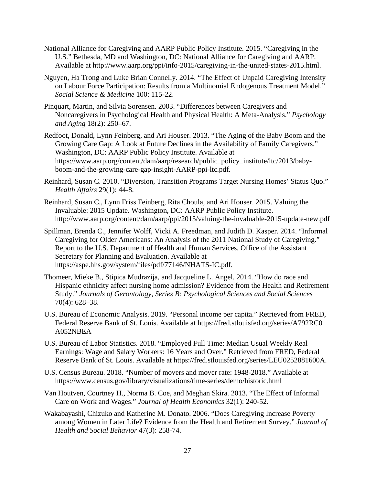- National Alliance for Caregiving and AARP Public Policy Institute. 2015. "Caregiving in the U.S." Bethesda, MD and Washington, DC: National Alliance for Caregiving and AARP. Available at [http://www.aarp.org/ppi/info-2015/caregiving-in-the-united-states-2015.html.](http://www.aarp.org/ppi/info-2015/caregiving-in-the-united-states-2015.html)
- Nguyen, Ha Trong and Luke Brian Connelly. 2014. "The Effect of Unpaid Caregiving Intensity on Labour Force Participation: Results from a Multinomial Endogenous Treatment Model." *Social Science & Medicine* 100: 115-22.
- Pinquart, Martin, and Silvia Sorensen. 2003. "Differences between Caregivers and Noncaregivers in Psychological Health and Physical Health: A Meta-Analysis." *Psychology and Aging* 18(2): 250–67.
- Redfoot, Donald, Lynn Feinberg, and Ari Houser. 2013. "The Aging of the Baby Boom and the Growing Care Gap: A Look at Future Declines in the Availability of Family Caregivers." Washington, DC: AARP Public Policy Institute. Available at https://www.aarp.org/content/dam/aarp/research/public\_policy\_institute/ltc/2013/babyboom-and-the-growing-care-gap-insight-AARP-ppi-ltc.pdf.
- Reinhard, Susan C. 2010. "Diversion, Transition Programs Target Nursing Homes' Status Quo." *Health Affairs* 29(1): 44-8.
- Reinhard, Susan C., Lynn Friss Feinberg, Rita Choula, and Ari Houser. 2015. Valuing the Invaluable: 2015 Update. Washington, DC: AARP Public Policy Institute. http://www.aarp.org/content/dam/aarp/ppi/2015/valuing-the-invaluable-2015-update-new.pdf
- Spillman, Brenda C., Jennifer Wolff, Vicki A. Freedman, and Judith D. Kasper. 2014. "Informal Caregiving for Older Americans: An Analysis of the 2011 National Study of Caregiving." Report to the U.S. Department of Health and Human Services, Office of the Assistant Secretary for Planning and Evaluation. Available at https://aspe.hhs.gov/system/files/pdf/77146/NHATS-IC.pdf.
- Thomeer, Mieke B., Stipica Mudrazija, and Jacqueline L. Angel. 2014. "How do race and Hispanic ethnicity affect nursing home admission? Evidence from the Health and Retirement Study." *Journals of Gerontology, Series B: Psychological Sciences and Social Sciences*  70(4): 628–38.
- U.S. Bureau of Economic Analysis. 2019. "Personal income per capita." Retrieved from FRED, Federal Reserve Bank of St. Louis. Available at https://fred.stlouisfed.org/series/A792RC0 A052NBEA
- U.S. Bureau of Labor Statistics. 2018. "Employed Full Time: Median Usual Weekly Real Earnings: Wage and Salary Workers: 16 Years and Over." Retrieved from FRED, Federal Reserve Bank of St. Louis. Available at https://fred.stlouisfed.org/series/LEU0252881600A.
- U.S. Census Bureau. 2018. "Number of movers and mover rate: 1948-2018." Available at https://www.census.gov/library/visualizations/time-series/demo/historic.html
- Van Houtven, Courtney H., Norma B. Coe, and Meghan Skira. 2013. "The Effect of Informal Care on Work and Wages." *Journal of Health Economics* 32(1): 240-52.
- Wakabayashi, Chizuko and Katherine M. Donato. 2006. "Does Caregiving Increase Poverty among Women in Later Life? Evidence from the Health and Retirement Survey." *Journal of Health and Social Behavior* 47(3): 258-74.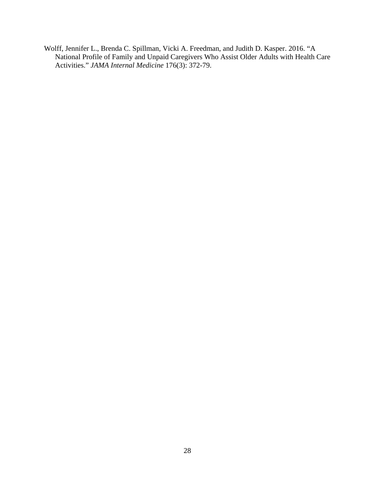Wolff, Jennifer L., Brenda C. Spillman, Vicki A. Freedman, and Judith D. Kasper. 2016. "A National Profile of Family and Unpaid Caregivers Who Assist Older Adults with Health Care Activities." *JAMA Internal Medicine* 176(3): 372-79.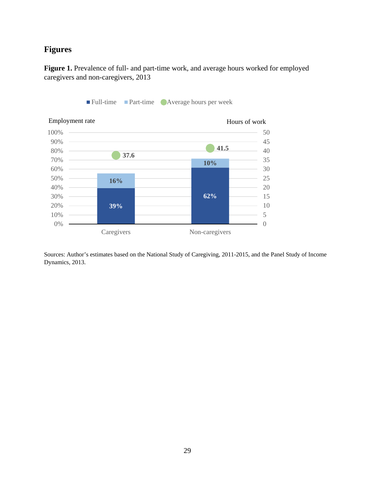# **Figures**

**Figure 1.** Prevalence of full- and part-time work, and average hours worked for employed caregivers and non-caregivers, 2013



■ Full-time Part-time Average hours per week

Sources: Author's estimates based on the National Study of Caregiving, 2011-2015, and the Panel Study of Income

Dynamics, 2013.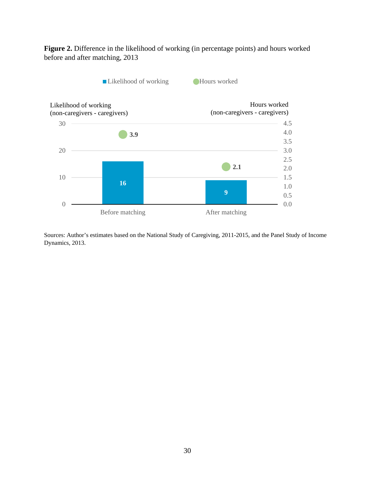**Figure 2.** Difference in the likelihood of working (in percentage points) and hours worked before and after matching, 2013



Sources: Author's estimates based on the National Study of Caregiving, 2011-2015, and the Panel Study of Income Dynamics, 2013.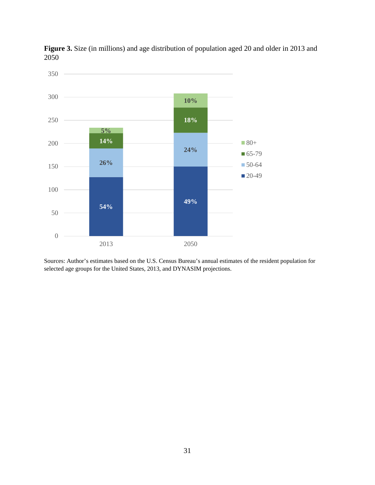

**Figure 3.** Size (in millions) and age distribution of population aged 20 and older in 2013 and 2050

Sources: Author's estimates based on the U.S. Census Bureau's annual estimates of the resident population for selected age groups for the United States, 2013, and DYNASIM projections.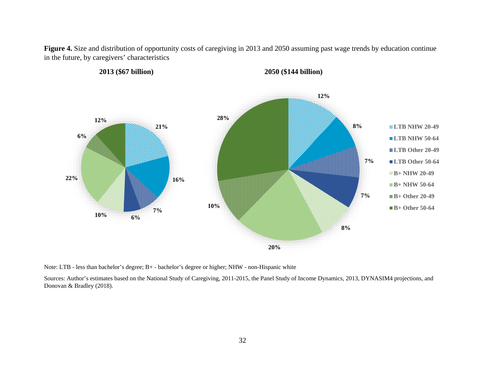**Figure 4.** Size and distribution of opportunity costs of caregiving in 2013 and 2050 assuming past wage trends by education continue in the future, by caregivers' characteristics



Note: LTB - less than bachelor's degree; B+ - bachelor's degree or higher; NHW - non-Hispanic white

Sources: Author's estimates based on the National Study of Caregiving, 2011-2015, the Panel Study of Income Dynamics, 2013, DYNASIM4 projections, and Donovan & Bradley (2018).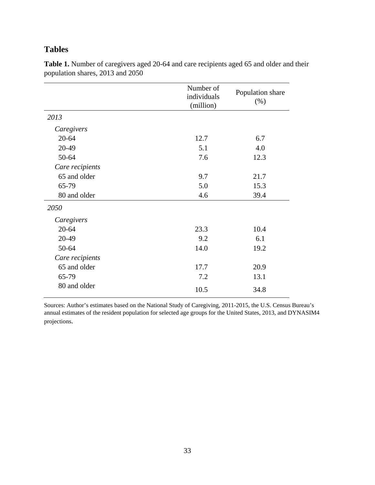## **Tables**

|                 | Number of<br>individuals<br>(million) | Population share<br>(% ) |
|-----------------|---------------------------------------|--------------------------|
| 2013            |                                       |                          |
| Caregivers      |                                       |                          |
| $20 - 64$       | 12.7                                  | 6.7                      |
| 20-49           | 5.1                                   | 4.0                      |
| 50-64           | 7.6                                   | 12.3                     |
| Care recipients |                                       |                          |
| 65 and older    | 9.7                                   | 21.7                     |
| 65-79           | 5.0                                   | 15.3                     |
| 80 and older    | 4.6                                   | 39.4                     |
| 2050            |                                       |                          |
| Caregivers      |                                       |                          |
| $20 - 64$       | 23.3                                  | 10.4                     |
| 20-49           | 9.2                                   | 6.1                      |
| 50-64           | 14.0                                  | 19.2                     |
| Care recipients |                                       |                          |
| 65 and older    | 17.7                                  | 20.9                     |
| 65-79           | 7.2                                   | 13.1                     |
| 80 and older    | 10.5                                  | 34.8                     |

**Table 1.** Number of caregivers aged 20-64 and care recipients aged 65 and older and their population shares, 2013 and 2050

Sources: Author's estimates based on the National Study of Caregiving, 2011-2015, the U.S. Census Bureau's annual estimates of the resident population for selected age groups for the United States, 2013, and DYNASIM4 projections.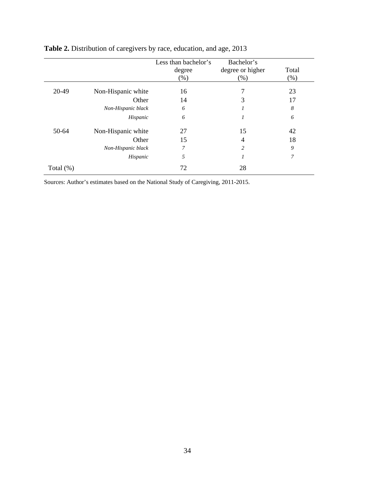|              |                    | Less than bachelor's<br>degree<br>$(\%)$ | Bachelor's<br>degree or higher<br>(% ) | Total<br>(% ) |
|--------------|--------------------|------------------------------------------|----------------------------------------|---------------|
| 20-49        | Non-Hispanic white | 16                                       | 7                                      | 23            |
|              | Other              | 14                                       | 3                                      | 17            |
|              | Non-Hispanic black | 6                                        | 1                                      | 8             |
|              | Hispanic           | 6                                        | 1                                      | 6             |
| $50-64$      | Non-Hispanic white | 27                                       | 15                                     | 42            |
|              | Other              | 15                                       | $\overline{4}$                         | 18            |
|              | Non-Hispanic black | 7                                        | 2                                      | 9             |
|              | Hispanic           | 5                                        | 1                                      | 7             |
| Total $(\%)$ |                    | 72                                       | 28                                     |               |

# **Table 2.** Distribution of caregivers by race, education, and age, 2013

Sources: Author's estimates based on the National Study of Caregiving, 2011-2015.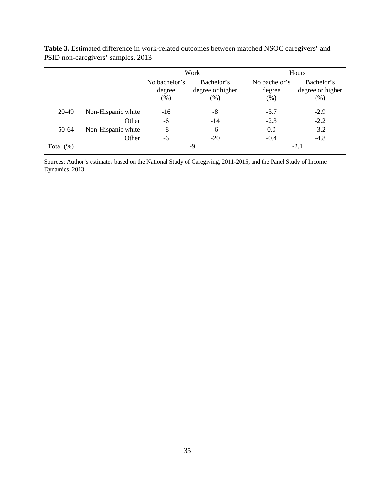|              |                    |                                   | Work                                     |                                   | Hours                                    |
|--------------|--------------------|-----------------------------------|------------------------------------------|-----------------------------------|------------------------------------------|
|              |                    | No bachelor's<br>degree<br>$(\%)$ | Bachelor's<br>degree or higher<br>$(\%)$ | No bachelor's<br>degree<br>$(\%)$ | Bachelor's<br>degree or higher<br>$(\%)$ |
| 20-49        | Non-Hispanic white | $-16$                             | -8                                       | $-3.7$                            | $-2.9$                                   |
|              | Other              | -6                                | -14                                      | $-2.3$                            | $-2.2$                                   |
| 50-64        | Non-Hispanic white | $-8$                              | -6                                       | 0.0                               | $-3.2$                                   |
|              | Other              | -6                                | $-20$                                    | $-0.4$                            | $-48$                                    |
| Total $(\%)$ |                    |                                   | -9                                       |                                   | $-2.1$                                   |

**Table 3.** Estimated difference in work-related outcomes between matched NSOC caregivers' and PSID non-caregivers' samples, 2013

Sources: Author's estimates based on the National Study of Caregiving, 2011-2015, and the Panel Study of Income Dynamics, 2013.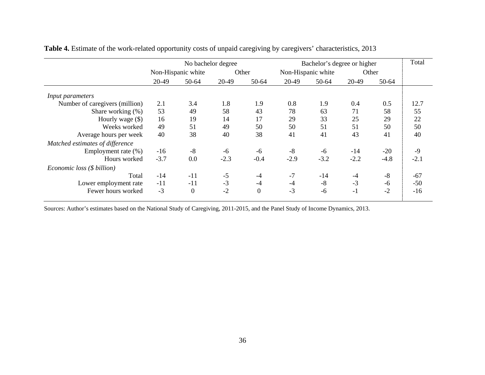|                                 |        | No bachelor degree |        |                | Bachelor's degree or higher |                             |        |        | Total  |
|---------------------------------|--------|--------------------|--------|----------------|-----------------------------|-----------------------------|--------|--------|--------|
|                                 |        | Non-Hispanic white |        | Other          |                             | Non-Hispanic white<br>Other |        |        |        |
|                                 | 20-49  | 50-64              | 20-49  | 50-64          | 20-49                       | 50-64                       | 20-49  | 50-64  |        |
| <i>Input parameters</i>         |        |                    |        |                |                             |                             |        |        |        |
| Number of caregivers (million)  | 2.1    | 3.4                | 1.8    | 1.9            | 0.8                         | 1.9                         | 0.4    | 0.5    | 12.7   |
| Share working (%)               | 53     | 49                 | 58     | 43             | 78                          | 63                          | 71     | 58     | 55     |
| Hourly wage $(\$)$              | 16     | 19                 | 14     | 17             | 29                          | 33                          | 25     | 29     | 22     |
| Weeks worked                    | 49     | 51                 | 49     | 50             | 50                          | 51                          | 51     | 50     | 50     |
| Average hours per week          | 40     | 38                 | 40     | 38             | 41                          | 41                          | 43     | 41     | 40     |
| Matched estimates of difference |        |                    |        |                |                             |                             |        |        |        |
| Employment rate (%)             | $-16$  | $-8$               | -6     | $-6$           | $-8$                        | -6                          | $-14$  | $-20$  | $-9$   |
| Hours worked                    | $-3.7$ | 0.0                | $-2.3$ | $-0.4$         | $-2.9$                      | $-3.2$                      | $-2.2$ | $-4.8$ | $-2.1$ |
| Economic loss (\$ billion)      |        |                    |        |                |                             |                             |        |        |        |
| Total                           | $-14$  | $-11$              | $-5$   | $-4$           | $-7$                        | $-14$                       | $-4$   | $-8$   | $-67$  |
| Lower employment rate           | $-11$  | $-11$              | $-3$   | $-4$           | $-4$                        | $-8$                        | $-3$   | -6     | $-50$  |
| Fewer hours worked              | $-3$   | $\overline{0}$     | $-2$   | $\overline{0}$ | $-3$                        | $-6$                        | $-1$   | $-2$   | $-16$  |

**Table 4.** Estimate of the work-related opportunity costs of unpaid caregiving by caregivers' characteristics, 2013

Sources: Author's estimates based on the National Study of Caregiving, 2011-2015, and the Panel Study of Income Dynamics, 2013.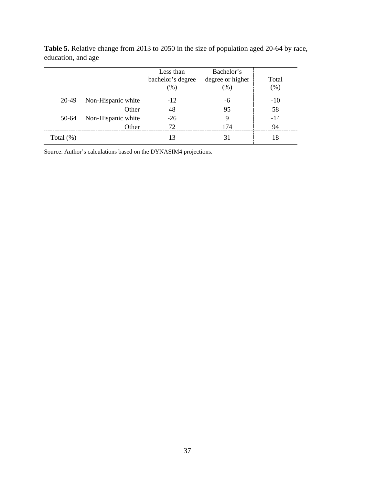|              |                    | Less than         | Bachelor's       |         |
|--------------|--------------------|-------------------|------------------|---------|
|              |                    | bachelor's degree | degree or higher | Total   |
|              |                    | $(\%)$            | $(\%)$           | $(\% )$ |
| 20-49        | Non-Hispanic white | $-12$             | -6               | $-10$   |
|              | Other              | 48                | 95               | 58      |
| 50-64        | Non-Hispanic white | $-26$             | 9                | $-14$   |
|              | Other              | 72                | 174              | 94      |
| Total $(\%)$ |                    | 13                | 31               | 18      |

**Table 5.** Relative change from 2013 to 2050 in the size of population aged 20-64 by race, education, and age

Source: Author's calculations based on the DYNASIM4 projections.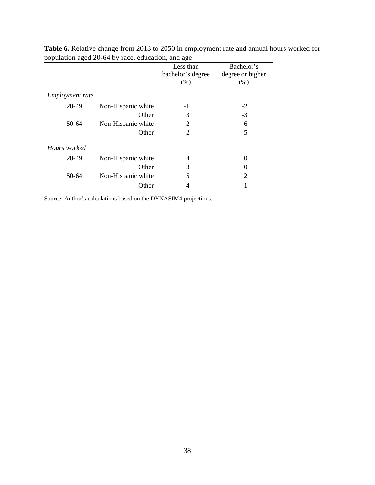| Ŧ.<br>л.               |                    |                   |                  |
|------------------------|--------------------|-------------------|------------------|
|                        |                    | Less than         | Bachelor's       |
|                        |                    | bachelor's degree | degree or higher |
|                        |                    | (%)               | (% )             |
| <i>Employment rate</i> |                    |                   |                  |
| 20-49                  | Non-Hispanic white | -1                | $-2$             |
|                        | Other              | 3                 | $-3$             |
| 50-64                  | Non-Hispanic white | $-2$              | -6               |
|                        | Other              | $\overline{2}$    | $-5$             |
| Hours worked           |                    |                   |                  |
| 20-49                  | Non-Hispanic white | 4                 | 0                |
|                        | Other              | 3                 | $\Omega$         |
| 50-64                  | Non-Hispanic white | 5                 | $\overline{2}$   |
|                        | Other              | 4                 | -1               |

**Table 6.** Relative change from 2013 to 2050 in employment rate and annual hours worked for population aged 20-64 by race, education, and age

Source: Author's calculations based on the DYNASIM4 projections.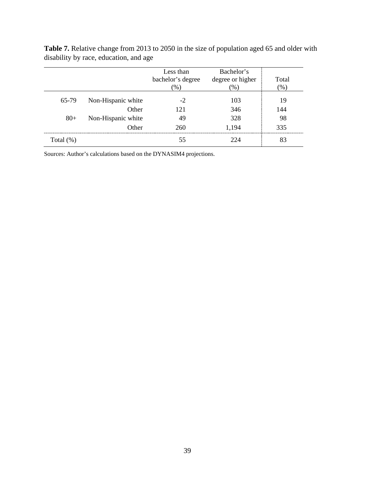|              |                    | Less than<br>bachelor's degree<br>(%) | Bachelor's<br>degree or higher<br>(96) | Total<br>$(\% )$ |
|--------------|--------------------|---------------------------------------|----------------------------------------|------------------|
| 65-79        | Non-Hispanic white | $-2$                                  | 103                                    | 19               |
|              | Other              | 121                                   | 346                                    | 144              |
| $80 +$       | Non-Hispanic white | 49                                    | 328                                    | 98               |
|              | Other              | 260                                   | 1,194                                  | 335              |
| Total $(\%)$ |                    | 55                                    | 224                                    | 83               |

**Table 7.** Relative change from 2013 to 2050 in the size of population aged 65 and older with disability by race, education, and age

Sources: Author's calculations based on the DYNASIM4 projections.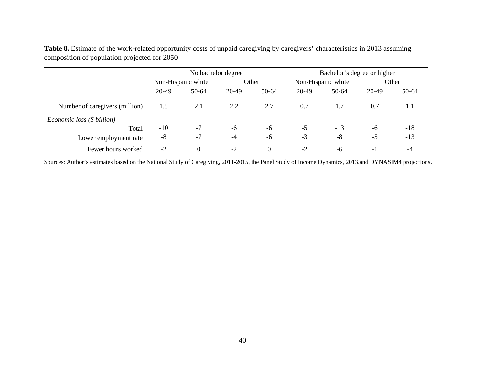**Table 8.** Estimate of the work-related opportunity costs of unpaid caregiving by caregivers' characteristics in 2013 assuming composition of population projected for 2050 No bachelor degree Bachelor's degree or higher

|                                | No bachelor degree |                    |       | Bachelor's degree or higher |       |                    |       |       |
|--------------------------------|--------------------|--------------------|-------|-----------------------------|-------|--------------------|-------|-------|
|                                |                    | Non-Hispanic white |       | Other                       |       | Non-Hispanic white |       | Other |
|                                | 20-49              | 50-64              | 20-49 | 50-64                       | 20-49 | 50-64              | 20-49 | 50-64 |
| Number of caregivers (million) | 1.5                | 2.1                | 2.2   | 2.7                         | 0.7   | 1.7                | 0.7   | 1.1   |
| Economic loss (\$ billion)     |                    |                    |       |                             |       |                    |       |       |
| Total                          | $-10$              | $-7$               | -6    | -6                          | $-5$  | $-13$              | -6    | $-18$ |
| Lower employment rate          | $-8$               | $-7$               | $-4$  | -6                          | $-3$  | $-8$               | $-5$  | $-13$ |
| Fewer hours worked             | $-2$               | $\overline{0}$     | $-2$  | $\Omega$                    | $-2$  | -6                 | - 1   | -4    |

Sources: Author's estimates based on the National Study of Caregiving, 2011-2015, the Panel Study of Income Dynamics, 2013.and DYNASIM4 projections.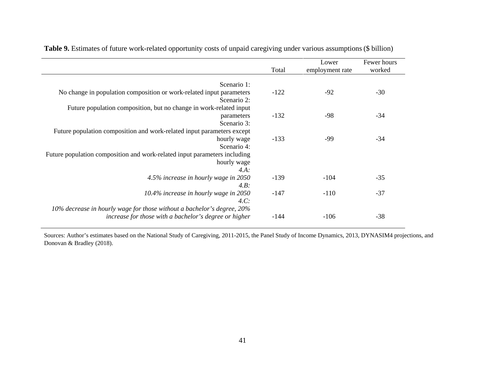|                                                                                     | Total  | Lower<br>employment rate | Fewer hours<br>worked |
|-------------------------------------------------------------------------------------|--------|--------------------------|-----------------------|
|                                                                                     |        |                          |                       |
| Scenario 1:<br>No change in population composition or work-related input parameters | $-122$ | $-92$                    | $-30$                 |
| Scenario 2:                                                                         |        |                          |                       |
| Future population composition, but no change in work-related input                  |        |                          |                       |
| parameters                                                                          | $-132$ | -98                      | $-34$                 |
| Scenario 3:                                                                         |        |                          |                       |
| Future population composition and work-related input parameters except              |        |                          |                       |
| hourly wage                                                                         | $-133$ | -99                      | $-34$                 |
| Scenario 4:                                                                         |        |                          |                       |
| Future population composition and work-related input parameters including           |        |                          |                       |
| hourly wage                                                                         |        |                          |                       |
| $4.A$ :                                                                             |        |                          |                       |
| 4.5% increase in hourly wage in 2050                                                | $-139$ | $-104$                   | $-35$                 |
| $4.B$ :                                                                             |        |                          |                       |
| 10.4% increase in hourly wage in 2050                                               | $-147$ | $-110$                   | $-37$                 |
| 4.C.                                                                                |        |                          |                       |
| 10% decrease in hourly wage for those without a bachelor's degree, 20%              |        |                          |                       |
| increase for those with a bachelor's degree or higher                               | -144   | $-106$                   | $-38$                 |

**Table 9.** Estimates of future work-related opportunity costs of unpaid caregiving under various assumptions (\$ billion)

Sources: Author's estimates based on the National Study of Caregiving, 2011-2015, the Panel Study of Income Dynamics, 2013, DYNASIM4 projections, and Donovan & Bradley (2018).